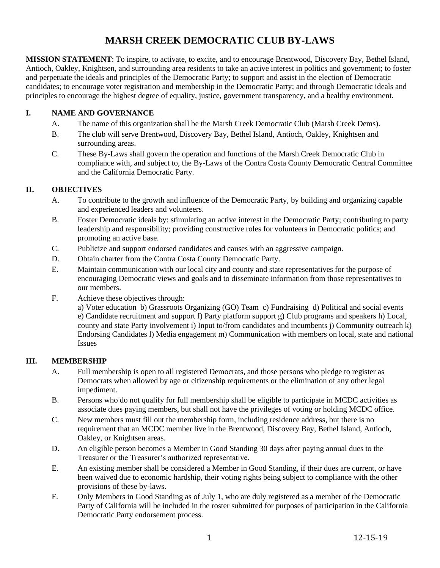# **MARSH CREEK DEMOCRATIC CLUB BY-LAWS**

**MISSION STATEMENT**: To inspire, to activate, to excite, and to encourage Brentwood, Discovery Bay, Bethel Island, Antioch, Oakley, Knightsen, and surrounding area residents to take an active interest in politics and government; to foster and perpetuate the ideals and principles of the Democratic Party; to support and assist in the election of Democratic candidates; to encourage voter registration and membership in the Democratic Party; and through Democratic ideals and principles to encourage the highest degree of equality, justice, government transparency, and a healthy environment.

### **I. NAME AND GOVERNANCE**

- A. The name of this organization shall be the Marsh Creek Democratic Club (Marsh Creek Dems).
- B. The club will serve Brentwood, Discovery Bay, Bethel Island, Antioch, Oakley, Knightsen and surrounding areas.
- C. These By-Laws shall govern the operation and functions of the Marsh Creek Democratic Club in compliance with, and subject to, the By-Laws of the Contra Costa County Democratic Central Committee and the California Democratic Party.

## **II. OBJECTIVES**

- A. To contribute to the growth and influence of the Democratic Party, by building and organizing capable and experienced leaders and volunteers.
- B. Foster Democratic ideals by: stimulating an active interest in the Democratic Party; contributing to party leadership and responsibility; providing constructive roles for volunteers in Democratic politics; and promoting an active base.
- C. Publicize and support endorsed candidates and causes with an aggressive campaign.
- D. Obtain charter from the Contra Costa County Democratic Party.
- E. Maintain communication with our local city and county and state representatives for the purpose of encouraging Democratic views and goals and to disseminate information from those representatives to our members.
- F. Achieve these objectives through:

a) Voter education b) Grassroots Organizing (GO) Team c) Fundraising d) Political and social events e) Candidate recruitment and support f) Party platform support g) Club programs and speakers h) Local, county and state Party involvement i) Input to/from candidates and incumbents j) Community outreach k) Endorsing Candidates l) Media engagement m) Communication with members on local, state and national Issues

#### **III. MEMBERSHIP**

- A. Full membership is open to all registered Democrats, and those persons who pledge to register as Democrats when allowed by age or citizenship requirements or the elimination of any other legal impediment.
- B. Persons who do not qualify for full membership shall be eligible to participate in MCDC activities as associate dues paying members, but shall not have the privileges of voting or holding MCDC office.
- C. New members must fill out the membership form, including residence address, but there is no requirement that an MCDC member live in the Brentwood, Discovery Bay, Bethel Island, Antioch, Oakley, or Knightsen areas.
- D. An eligible person becomes a Member in Good Standing 30 days after paying annual dues to the Treasurer or the Treasurer's authorized representative.
- E. An existing member shall be considered a Member in Good Standing, if their dues are current, or have been waived due to economic hardship, their voting rights being subject to compliance with the other provisions of these by-laws.
- F. Only Members in Good Standing as of July 1, who are duly registered as a member of the Democratic Party of California will be included in the roster submitted for purposes of participation in the California Democratic Party endorsement process.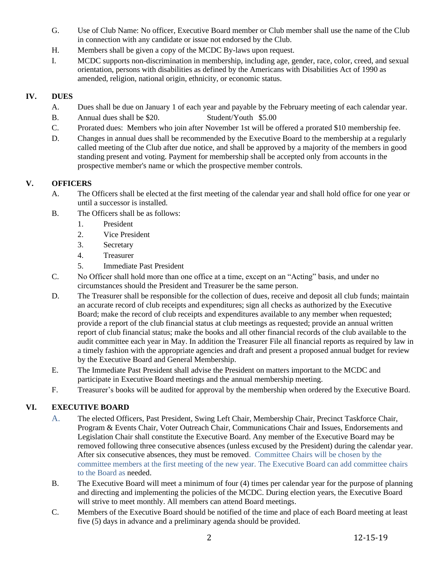- G. Use of Club Name: No officer, Executive Board member or Club member shall use the name of the Club in connection with any candidate or issue not endorsed by the Club.
- H. Members shall be given a copy of the MCDC By-laws upon request.
- I. MCDC supports non-discrimination in membership, including age, gender, race, color, creed, and sexual orientation, persons with disabilities as defined by the Americans with Disabilities Act of 1990 as amended, religion, national origin, ethnicity, or economic status.

## **IV. DUES**

- A. Dues shall be due on January 1 of each year and payable by the February meeting of each calendar year.
- B. Annual dues shall be \$20. Student/Youth \$5.00
- C. Prorated dues: Members who join after November 1st will be offered a prorated \$10 membership fee.
- D. Changes in annual dues shall be recommended by the Executive Board to the membership at a regularly called meeting of the Club after due notice, and shall be approved by a majority of the members in good standing present and voting. Payment for membership shall be accepted only from accounts in the prospective member's name or which the prospective member controls.

# **V. OFFICERS**

- A. The Officers shall be elected at the first meeting of the calendar year and shall hold office for one year or until a successor is installed.
- B. The Officers shall be as follows:
	- 1. President
	- 2. Vice President
	- 3. Secretary
	- 4. Treasurer
	- 5. Immediate Past President
- C. No Officer shall hold more than one office at a time, except on an "Acting" basis, and under no circumstances should the President and Treasurer be the same person.
- D. The Treasurer shall be responsible for the collection of dues, receive and deposit all club funds; maintain an accurate record of club receipts and expenditures; sign all checks as authorized by the Executive Board; make the record of club receipts and expenditures available to any member when requested; provide a report of the club financial status at club meetings as requested; provide an annual written report of club financial status; make the books and all other financial records of the club available to the audit committee each year in May. In addition the Treasurer File all financial reports as required by law in a timely fashion with the appropriate agencies and draft and present a proposed annual budget for review by the Executive Board and General Membership.
- E. The Immediate Past President shall advise the President on matters important to the MCDC and participate in Executive Board meetings and the annual membership meeting.
- F. Treasurer's books will be audited for approval by the membership when ordered by the Executive Board.

# **VI. EXECUTIVE BOARD**

- A. The elected Officers, Past President, Swing Left Chair, Membership Chair, Precinct Taskforce Chair, Program & Events Chair, Voter Outreach Chair, Communications Chair and Issues, Endorsements and Legislation Chair shall constitute the Executive Board. Any member of the Executive Board may be removed following three consecutive absences (unless excused by the President) during the calendar year. After six consecutive absences, they must be removed. Committee Chairs will be chosen by the committee members at the first meeting of the new year. The Executive Board can add committee chairs to the Board as needed.
- B. The Executive Board will meet a minimum of four (4) times per calendar year for the purpose of planning and directing and implementing the policies of the MCDC. During election years, the Executive Board will strive to meet monthly. All members can attend Board meetings.
- C. Members of the Executive Board should be notified of the time and place of each Board meeting at least five (5) days in advance and a preliminary agenda should be provided.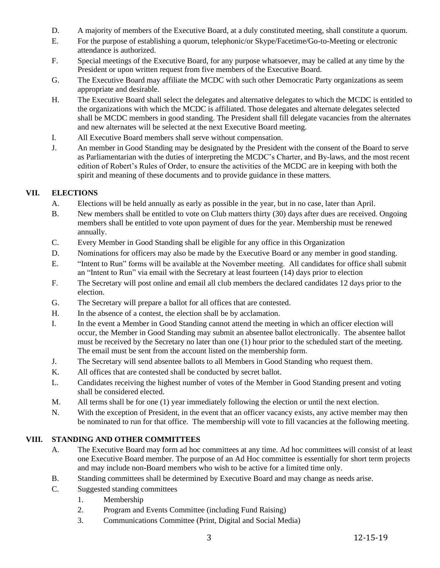- D. A majority of members of the Executive Board, at a duly constituted meeting, shall constitute a quorum.
- E. For the purpose of establishing a quorum, telephonic/or Skype/Facetime/Go-to-Meeting or electronic attendance is authorized.
- F. Special meetings of the Executive Board, for any purpose whatsoever, may be called at any time by the President or upon written request from five members of the Executive Board.
- G. The Executive Board may affiliate the MCDC with such other Democratic Party organizations as seem appropriate and desirable.
- H. The Executive Board shall select the delegates and alternative delegates to which the MCDC is entitled to the organizations with which the MCDC is affiliated. Those delegates and alternate delegates selected shall be MCDC members in good standing. The President shall fill delegate vacancies from the alternates and new alternates will be selected at the next Executive Board meeting.
- I. All Executive Board members shall serve without compensation.
- J. An member in Good Standing may be designated by the President with the consent of the Board to serve as Parliamentarian with the duties of interpreting the MCDC's Charter, and By-laws, and the most recent edition of Robert's Rules of Order, to ensure the activities of the MCDC are in keeping with both the spirit and meaning of these documents and to provide guidance in these matters.

## **VII. ELECTIONS**

- A. Elections will be held annually as early as possible in the year, but in no case, later than April.
- B. New members shall be entitled to vote on Club matters thirty (30) days after dues are received. Ongoing members shall be entitled to vote upon payment of dues for the year. Membership must be renewed annually.
- C. Every Member in Good Standing shall be eligible for any office in this Organization
- D. Nominations for officers may also be made by the Executive Board or any member in good standing.
- E. "Intent to Run" forms will be available at the November meeting. All candidates for office shall submit an "Intent to Run" via email with the Secretary at least fourteen (14) days prior to election
- F. The Secretary will post online and email all club members the declared candidates 12 days prior to the election.
- G. The Secretary will prepare a ballot for all offices that are contested.
- H. In the absence of a contest, the election shall be by acclamation.
- I. In the event a Member in Good Standing cannot attend the meeting in which an officer election will occur, the Member in Good Standing may submit an absentee ballot electronically. The absentee ballot must be received by the Secretary no later than one (1) hour prior to the scheduled start of the meeting. The email must be sent from the account listed on the membership form.
- J. The Secretary will send absentee ballots to all Members in Good Standing who request them.
- K. All offices that are contested shall be conducted by secret ballot.
- L. Candidates receiving the highest number of votes of the Member in Good Standing present and voting shall be considered elected.
- M. All terms shall be for one (1) year immediately following the election or until the next election.
- N. With the exception of President, in the event that an officer vacancy exists, any active member may then be nominated to run for that office. The membership will vote to fill vacancies at the following meeting.

#### **VIII. STANDING AND OTHER COMMITTEES**

- A. The Executive Board may form ad hoc committees at any time. Ad hoc committees will consist of at least one Executive Board member. The purpose of an Ad Hoc committee is essentially for short term projects and may include non-Board members who wish to be active for a limited time only.
- B. Standing committees shall be determined by Executive Board and may change as needs arise.
- C. Suggested standing committees
	- 1. Membership
	- 2. Program and Events Committee (including Fund Raising)
	- 3. Communications Committee (Print, Digital and Social Media)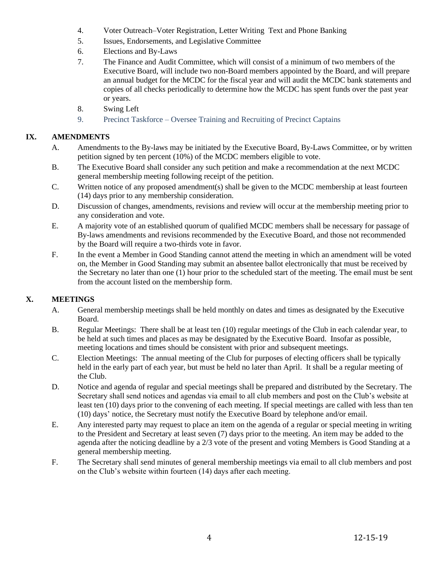- 4. Voter Outreach–Voter Registration, Letter Writing Text and Phone Banking
- 5. Issues, Endorsements, and Legislative Committee
- 6. Elections and By-Laws
- 7. The Finance and Audit Committee, which will consist of a minimum of two members of the Executive Board, will include two non-Board members appointed by the Board, and will prepare an annual budget for the MCDC for the fiscal year and will audit the MCDC bank statements and copies of all checks periodically to determine how the MCDC has spent funds over the past year or years.
- 8. Swing Left
- 9. Precinct Taskforce Oversee Training and Recruiting of Precinct Captains

#### **IX. AMENDMENTS**

- A. Amendments to the By-laws may be initiated by the Executive Board, By-Laws Committee, or by written petition signed by ten percent (10%) of the MCDC members eligible to vote.
- B. The Executive Board shall consider any such petition and make a recommendation at the next MCDC general membership meeting following receipt of the petition.
- C. Written notice of any proposed amendment(s) shall be given to the MCDC membership at least fourteen (14) days prior to any membership consideration.
- D. Discussion of changes, amendments, revisions and review will occur at the membership meeting prior to any consideration and vote.
- E. A majority vote of an established quorum of qualified MCDC members shall be necessary for passage of By-laws amendments and revisions recommended by the Executive Board, and those not recommended by the Board will require a two-thirds vote in favor.
- F. In the event a Member in Good Standing cannot attend the meeting in which an amendment will be voted on, the Member in Good Standing may submit an absentee ballot electronically that must be received by the Secretary no later than one (1) hour prior to the scheduled start of the meeting. The email must be sent from the account listed on the membership form.

#### **X. MEETINGS**

- A. General membership meetings shall be held monthly on dates and times as designated by the Executive Board.
- B. Regular Meetings: There shall be at least ten (10) regular meetings of the Club in each calendar year, to be held at such times and places as may be designated by the Executive Board. Insofar as possible, meeting locations and times should be consistent with prior and subsequent meetings.
- C. Election Meetings: The annual meeting of the Club for purposes of electing officers shall be typically held in the early part of each year, but must be held no later than April. It shall be a regular meeting of the Club.
- D. Notice and agenda of regular and special meetings shall be prepared and distributed by the Secretary. The Secretary shall send notices and agendas via email to all club members and post on the Club's website at least ten (10) days prior to the convening of each meeting. If special meetings are called with less than ten (10) days' notice, the Secretary must notify the Executive Board by telephone and/or email.
- E. Any interested party may request to place an item on the agenda of a regular or special meeting in writing to the President and Secretary at least seven (7) days prior to the meeting. An item may be added to the agenda after the noticing deadline by a 2/3 vote of the present and voting Members is Good Standing at a general membership meeting.
- F. The Secretary shall send minutes of general membership meetings via email to all club members and post on the Club's website within fourteen (14) days after each meeting.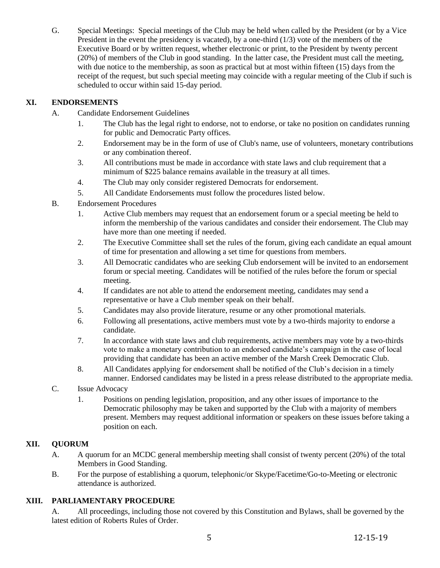G. Special Meetings: Special meetings of the Club may be held when called by the President (or by a Vice President in the event the presidency is vacated), by a one-third  $(1/3)$  vote of the members of the Executive Board or by written request, whether electronic or print, to the President by twenty percent (20%) of members of the Club in good standing. In the latter case, the President must call the meeting, with due notice to the membership, as soon as practical but at most within fifteen (15) days from the receipt of the request, but such special meeting may coincide with a regular meeting of the Club if such is scheduled to occur within said 15-day period.

# **XI. ENDORSEMENTS**

- A. Candidate Endorsement Guidelines
	- 1. The Club has the legal right to endorse, not to endorse, or take no position on candidates running for public and Democratic Party offices.
	- 2. Endorsement may be in the form of use of Club's name, use of volunteers, monetary contributions or any combination thereof.
	- 3. All contributions must be made in accordance with state laws and club requirement that a minimum of \$225 balance remains available in the treasury at all times.
	- 4. The Club may only consider registered Democrats for endorsement.
	- 5. All Candidate Endorsements must follow the procedures listed below.
- B. Endorsement Procedures
	- 1. Active Club members may request that an endorsement forum or a special meeting be held to inform the membership of the various candidates and consider their endorsement. The Club may have more than one meeting if needed.
	- 2. The Executive Committee shall set the rules of the forum, giving each candidate an equal amount of time for presentation and allowing a set time for questions from members.
	- 3. All Democratic candidates who are seeking Club endorsement will be invited to an endorsement forum or special meeting. Candidates will be notified of the rules before the forum or special meeting.
	- 4. If candidates are not able to attend the endorsement meeting, candidates may send a representative or have a Club member speak on their behalf.
	- 5. Candidates may also provide literature, resume or any other promotional materials.
	- 6. Following all presentations, active members must vote by a two-thirds majority to endorse a candidate.
	- 7. In accordance with state laws and club requirements, active members may vote by a two-thirds vote to make a monetary contribution to an endorsed candidate's campaign in the case of local providing that candidate has been an active member of the Marsh Creek Democratic Club.
	- 8. All Candidates applying for endorsement shall be notified of the Club's decision in a timely manner. Endorsed candidates may be listed in a press release distributed to the appropriate media.
- C. Issue Advocacy
	- 1. Positions on pending legislation, proposition, and any other issues of importance to the Democratic philosophy may be taken and supported by the Club with a majority of members present. Members may request additional information or speakers on these issues before taking a position on each.

#### **XII. QUORUM**

- A. A quorum for an MCDC general membership meeting shall consist of twenty percent (20%) of the total Members in Good Standing.
- B. For the purpose of establishing a quorum, telephonic/or Skype/Facetime/Go-to-Meeting or electronic attendance is authorized.

# **XIII. PARLIAMENTARY PROCEDURE**

A. All proceedings, including those not covered by this Constitution and Bylaws, shall be governed by the latest edition of Roberts Rules of Order.